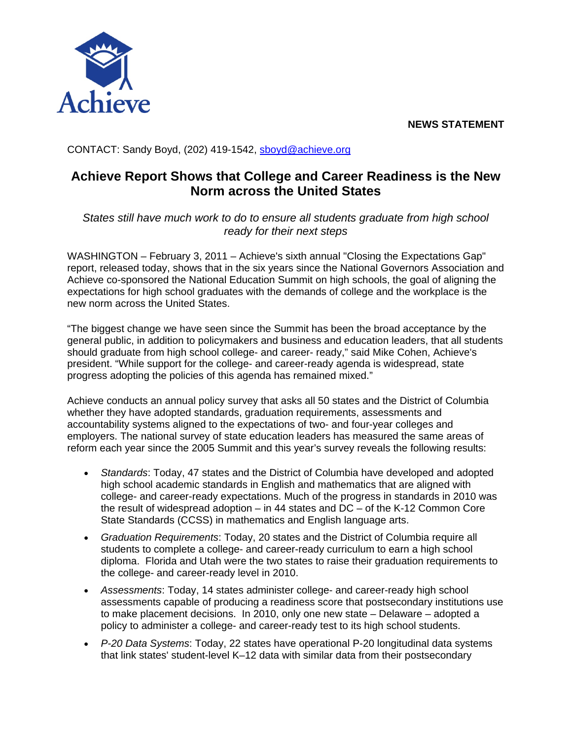**NEWS STATEMENT** 



CONTACT: Sandy Boyd, (202) 419-1542, sboyd@achieve.org

## **Achieve Report Shows that College and Career Readiness is the New Norm across the United States**

*States still have much work to do to ensure all students graduate from high school ready for their next steps* 

WASHINGTON – February 3, 2011 – Achieve's sixth annual "Closing the Expectations Gap" report, released today, shows that in the six years since the National Governors Association and Achieve co-sponsored the National Education Summit on high schools, the goal of aligning the expectations for high school graduates with the demands of college and the workplace is the new norm across the United States.

"The biggest change we have seen since the Summit has been the broad acceptance by the general public, in addition to policymakers and business and education leaders, that all students should graduate from high school college- and career- ready," said Mike Cohen, Achieve's president. "While support for the college- and career-ready agenda is widespread, state progress adopting the policies of this agenda has remained mixed."

Achieve conducts an annual policy survey that asks all 50 states and the District of Columbia whether they have adopted standards, graduation requirements, assessments and accountability systems aligned to the expectations of two- and four-year colleges and employers. The national survey of state education leaders has measured the same areas of reform each year since the 2005 Summit and this year's survey reveals the following results:

- *Standards*: Today, 47 states and the District of Columbia have developed and adopted high school academic standards in English and mathematics that are aligned with college- and career-ready expectations. Much of the progress in standards in 2010 was the result of widespread adoption – in 44 states and DC – of the K-12 Common Core State Standards (CCSS) in mathematics and English language arts.
- *Graduation Requirements*: Today, 20 states and the District of Columbia require all students to complete a college- and career-ready curriculum to earn a high school diploma. Florida and Utah were the two states to raise their graduation requirements to the college- and career-ready level in 2010.
- *Assessments*: Today, 14 states administer college- and career-ready high school assessments capable of producing a readiness score that postsecondary institutions use to make placement decisions. In 2010, only one new state – Delaware – adopted a policy to administer a college- and career-ready test to its high school students.
- *P-20 Data Systems*: Today, 22 states have operational P-20 longitudinal data systems that link states' student-level K–12 data with similar data from their postsecondary